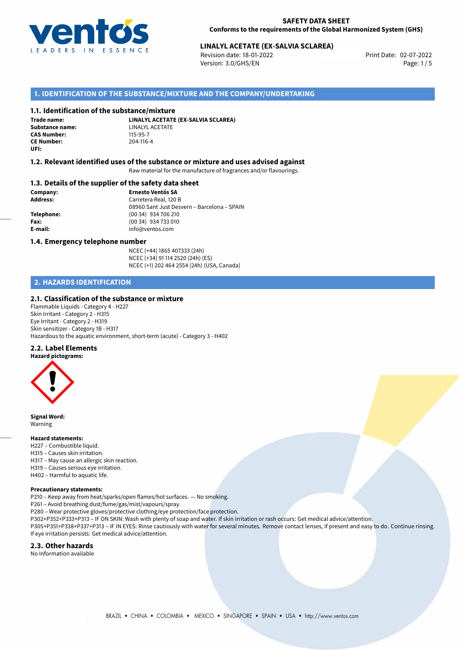

# **LINALYL ACETATE (EX-SALVIA SCLAREA)**<br>Revision date: 18-01-2022<br>Print Date: 02-07-2022

Revision date: 18-01-2022 Version: 3.0/GHS/EN Page: 1/5

# **1. IDENTIFICATION OF THE SUBSTANCE/MIXTURE AND THE COMPANY/UNDERTAKING**

# **1.1. Identification of the substance/mixture**

**Trade name: CAS Number: CE Number:** 204-116-4 **UFI:**

**LINALYL ACETATE (EX-SALVIA SCLAREA) Substance name:** LINALYL ACETATE<br> **CAS Number:** 115-95-7

#### **1.2. Relevant identified uses of the substance or mixture and uses advised against**

Raw material for the manufacture of fragrances and/or flavourings.

# **1.3. Details of the supplier of the safety data sheet**

**Company: Ernesto Ventós SA Address:** Carretera Real, 120 B 08960 Sant Just Desvern – Barcelona – SPAIN **Telephone:** (00 34) 934 706 210 **Fax:** (00 34) 934 733 010 **E-mail:** info@ventos.com

#### **1.4. Emergency telephone number**

NCEC (+44) 1865 407333 (24h) NCEC (+34) 91 114 2520 (24h) (ES) NCEC (+1) 202 464 2554 (24h) (USA, Canada)

# **2. HAZARDS IDENTIFICATION**

# **2.1. Classification of the substance or mixture**

Flammable Liquids - Category 4 - H227 Skin Irritant - Category 2 - H315 Eye Irritant - Category 2 - H319 Skin sensitizer - Category 1B - H317 Hazardous to the aquatic environment, short-term (acute) - Category 3 - H402

# **2.2. Label Elements**

**Hazard pictograms:**



**Signal Word:** Warning

#### **Hazard statements:**

- H227 Combustible liquid. H315 – Causes skin irritation.
- H317 May cause an allergic skin reaction.
- H319 Causes serious eye irritation.
- H402 Harmful to aquatic life.

#### **Precautionary statements:**

P210 – Keep away from heat/sparks/open flames/hot surfaces. — No smoking.

P261 – Avoid breathing dust/fume/gas/mist/vapours/spray.

- P280 Wear protective gloves/protective clothing/eye protection/face protection.
- P302+P352+P333+P313 IF ON SKIN: Wash with plenty of soap and water. If skin irritation or rash occurs: Get medical advice/attention.

P305+P351+P338+P337+P313 – IF IN EYES: Rinse cautiously with water for several minutes. Remove contact lenses, if present and easy to do. Continue rinsing. If eye irritation persists: Get medical advice/attention.

### **2.3. Other hazards**

No Information available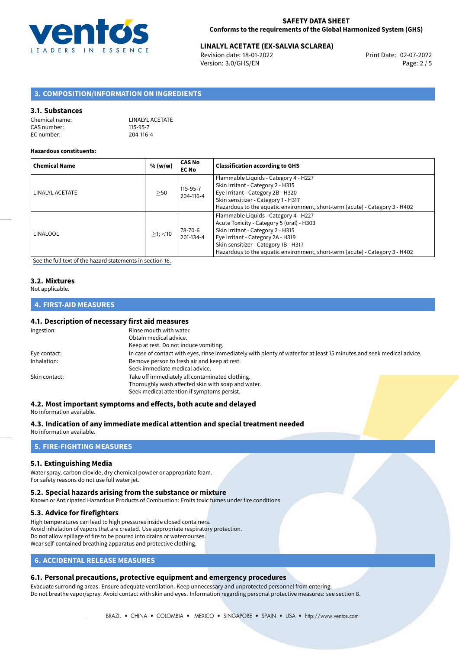

# **LINALYL ACETATE (EX-SALVIA SCLAREA)**<br>Revision date: 18-01-2022<br>Print Date: 02-07-2022

Revision date: 18-01-2022 Version: 3.0/GHS/EN Page: 2 / 5

# **3. COMPOSITION/INFORMATION ON INGREDIENTS**

#### **3.1. Substances**

| Chemical name: | LINALYL ACETATE |
|----------------|-----------------|
| CAS number:    | 115-95-7        |
| EC number:     | 204-116-4       |

#### **Hazardous constituents:**

| <b>Chemical Name</b> | % (w/w)       | <b>CAS No</b><br><b>EC No</b> | <b>Classification according to GHS</b>                                                                                                                                                                                                                                               |
|----------------------|---------------|-------------------------------|--------------------------------------------------------------------------------------------------------------------------------------------------------------------------------------------------------------------------------------------------------------------------------------|
| LINALYL ACETATE      | >50           | 115-95-7<br>204-116-4         | Flammable Liquids - Category 4 - H227<br>Skin Irritant - Category 2 - H315<br>Eye Irritant - Category 2B - H320<br>Skin sensitizer - Category 1 - H317<br>Hazardous to the aquatic environment, short-term (acute) - Category 3 - H402                                               |
| LINALOOL             | $>1$ ; $<$ 10 | 78-70-6<br>201-134-4          | Flammable Liquids - Category 4 - H227<br>Acute Toxicity - Category 5 (oral) - H303<br>Skin Irritant - Category 2 - H315<br>Eye Irritant - Category 2A - H319<br>Skin sensitizer - Category 1B - H317<br>Hazardous to the aquatic environment, short-term (acute) - Category 3 - H402 |

[See the full text of the hazard statements in section 16.](#page-4-0)

#### **3.2. Mixtures**

Not applicable.

# **4. FIRST-AID MEASURES**

# **4.1. Description of necessary first aid measures**

| Ingestion:    | Rinse mouth with water.                                                                                               |
|---------------|-----------------------------------------------------------------------------------------------------------------------|
|               | Obtain medical advice.                                                                                                |
|               | Keep at rest. Do not induce vomiting.                                                                                 |
| Eye contact:  | In case of contact with eyes, rinse immediately with plenty of water for at least 15 minutes and seek medical advice. |
| Inhalation:   | Remove person to fresh air and keep at rest.                                                                          |
|               | Seek immediate medical advice.                                                                                        |
| Skin contact: | Take off immediately all contaminated clothing.                                                                       |
|               | Thoroughly wash affected skin with soap and water.                                                                    |
|               | Seek medical attention if symptoms persist.                                                                           |

# **4.2. Most important symptoms and effects, both acute and delayed**

No information available.

#### **4.3. Indication of any immediate medical attention and special treatment needed**

No information available.

# **5. FIRE-FIGHTING MEASURES**

#### **5.1. Extinguishing Media**

Water spray, carbon dioxide, dry chemical powder or appropriate foam. For safety reasons do not use full water jet.

# **5.2. Special hazards arising from the substance or mixture**

Known or Anticipated Hazardous Products of Combustion: Emits toxic fumes under fire conditions.

#### **5.3. Advice for firefighters**

High temperatures can lead to high pressures inside closed containers. Avoid inhalation of vapors that are created. Use appropriate respiratory protection. Do not allow spillage of fire to be poured into drains or watercourses. Wear self-contained breathing apparatus and protective clothing.

# **6. ACCIDENTAL RELEASE MEASURES**

# **6.1. Personal precautions, protective equipment and emergency procedures**

Evacuate surronding areas. Ensure adequate ventilation. Keep unnecessary and unprotected personnel from entering. Do not breathe vapor/spray. Avoid contact with skin and eyes. Information regarding personal protective measures: see section 8.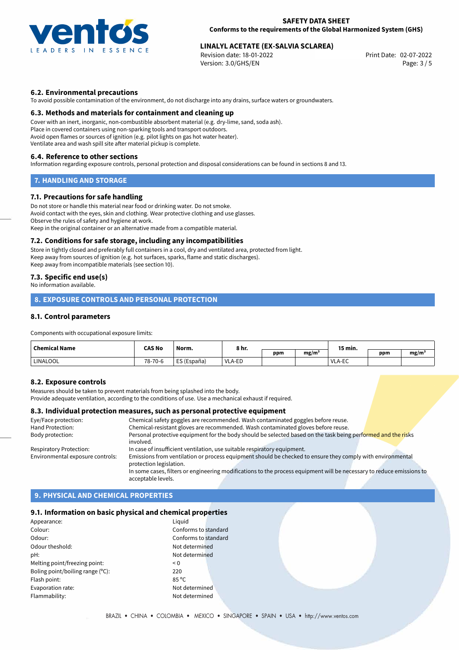

# **LINALYL ACETATE (EX-SALVIA SCLAREA)**<br>Revision date: 18-01-2022<br>Print Date: 02-07-2022

Revision date: 18-01-2022 Version: 3.0/GHS/EN Page: 3 / 5

# **6.2. Environmental precautions**

To avoid possible contamination of the environment, do not discharge into any drains, surface waters or groundwaters.

#### **6.3. Methods and materials for containment and cleaning up**

Cover with an inert, inorganic, non-combustible absorbent material (e.g. dry-lime, sand, soda ash). Place in covered containers using non-sparking tools and transport outdoors. Avoid open flames or sources of ignition (e.g. pilot lights on gas hot water heater). Ventilate area and wash spill site after material pickup is complete.

#### **6.4. Reference to other sections**

Information regarding exposure controls, personal protection and disposal considerations can be found in sections 8 and 13.

# **7. HANDLING AND STORAGE**

### **7.1. Precautions for safe handling**

Do not store or handle this material near food or drinking water. Do not smoke. Avoid contact with the eyes, skin and clothing. Wear protective clothing and use glasses. Observe the rules of safety and hygiene at work. Keep in the original container or an alternative made from a compatible material.

#### **7.2. Conditions for safe storage, including any incompatibilities**

Store in tightly closed and preferably full containers in a cool, dry and ventilated area, protected from light. Keep away from sources of ignition (e.g. hot surfaces, sparks, flame and static discharges). Keep away from incompatible materials (see section 10).

# **7.3. Specific end use(s)**

No information available.

# **8. EXPOSURE CONTROLS AND PERSONAL PROTECTION**

# **8.1. Control parameters**

Components with occupational exposure limits:

| <b>Chemical Name</b> | <b>CAS No</b> | Norm.       |        |     | 15 min.<br>8 hr.  |                    |     |      |
|----------------------|---------------|-------------|--------|-----|-------------------|--------------------|-----|------|
|                      |               |             |        | ppm | mg/m <sup>3</sup> |                    | ppm | mg/m |
| <b>LINALOOL</b>      | 78-70-6       | ES (España) | VLA-ED |     |                   | $\Gamma$<br>VLA-EC |     |      |

#### **8.2. Exposure controls**

Measures should be taken to prevent materials from being splashed into the body.

Provide adequate ventilation, according to the conditions of use. Use a mechanical exhaust if required.

#### **8.3. Individual protection measures, such as personal protective equipment**

| Eye/Face protection:             | Chemical safety goggles are recommended. Wash contaminated goggles before reuse.                                                      |
|----------------------------------|---------------------------------------------------------------------------------------------------------------------------------------|
| <b>Hand Protection:</b>          | Chemical-resistant gloves are recommended. Wash contaminated gloves before reuse.                                                     |
| Body protection:                 | Personal protective equipment for the body should be selected based on the task being performed and the risks<br>involved.            |
| <b>Respiratory Protection:</b>   | In case of insufficient ventilation, use suitable respiratory equipment.                                                              |
| Environmental exposure controls: | Emissions from ventilation or process equipment should be checked to ensure they comply with environmental<br>protection legislation. |
|                                  | In some cases, filters or engineering modifications to the process equipment will be necessary to reduce emissions to                 |
|                                  | acceptable levels.                                                                                                                    |

# **9. PHYSICAL AND CHEMICAL PROPERTIES**

# **9.1. Information on basic physical and chemical properties**

| Appearance:                      | Liguid               |
|----------------------------------|----------------------|
| Colour:                          | Conforms to standard |
| Odour:                           | Conforms to standard |
| Odour theshold:                  | Not determined       |
| pH:                              | Not determined       |
| Melting point/freezing point:    | $\leq 0$             |
| Boling point/boiling range (°C): | 220                  |
| Flash point:                     | $85^{\circ}$ C       |
| Evaporation rate:                | Not determined       |
| Flammability:                    | Not determined       |
|                                  |                      |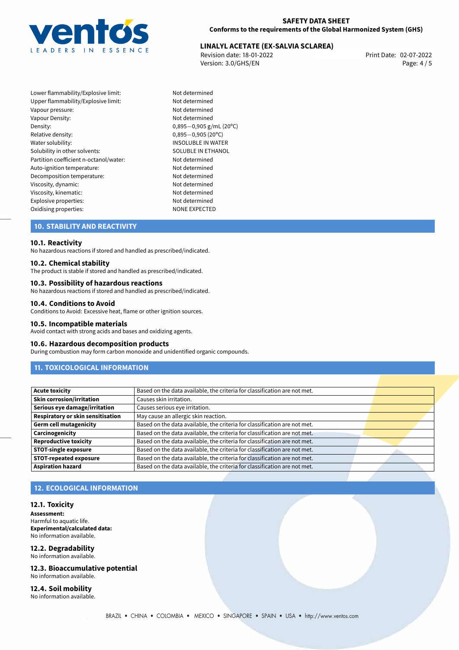

# **LINALYL ACETATE (EX-SALVIA SCLAREA)**<br>Revision date: 18-01-2022<br>Print Date: 02-07-2022

Revision date: 18-01-2022 Version: 3.0/GHS/EN Page: 4 / 5

Lower flammability/Explosive limit: Not determined Upper flammability/Explosive limit: Not determined Vapour pressure: Vapour pressure: Vapour Density: Not determined Density: 0,895−0,905 g/mL (20<sup>o</sup>C)<br>Relative density: 0.895−0.905 (20<sup>o</sup>C) Relative density: 0,895−0,905 (20°C)<br>Water solubility: 0,895−0,905 (20°C) Solubility in other solvents: SOLUBLE IN ETHANOL Partition coefficient n-octanol/water: Not determined Auto-ignition temperature: Not determined Decomposition temperature: Not determined Viscosity, dynamic: Not determined Viscosity, kinematic: Not determined Explosive properties: Not determined Oxidising properties: NONE EXPECTED

INSOLUBLE IN WATER

# **10. STABILITY AND REACTIVITY**

#### **10.1. Reactivity**

No hazardous reactions if stored and handled as prescribed/indicated.

#### **10.2. Chemical stability**

The product is stable if stored and handled as prescribed/indicated.

#### **10.3. Possibility of hazardous reactions**

No hazardous reactions if stored and handled as prescribed/indicated.

#### **10.4. Conditions to Avoid**

Conditions to Avoid: Excessive heat, flame or other ignition sources.

#### **10.5. Incompatible materials**

Avoid contact with strong acids and bases and oxidizing agents.

#### **10.6. Hazardous decomposition products**

During combustion may form carbon monoxide and unidentified organic compounds.

# **11. TOXICOLOGICAL INFORMATION**

| Acute toxicity                    | Based on the data available, the criteria for classification are not met. |  |  |
|-----------------------------------|---------------------------------------------------------------------------|--|--|
| Skin corrosion/irritation         | Causes skin irritation.                                                   |  |  |
| Serious eye damage/irritation     | Causes serious eye irritation.                                            |  |  |
| Respiratory or skin sensitisation | May cause an allergic skin reaction.                                      |  |  |
| Germ cell mutagenicity            | Based on the data available, the criteria for classification are not met. |  |  |
| <b>Carcinogenicity</b>            | Based on the data available, the criteria for classification are not met. |  |  |
| <b>Reproductive toxicity</b>      | Based on the data available, the criteria for classification are not met. |  |  |
| <b>STOT-single exposure</b>       | Based on the data available, the criteria for classification are not met. |  |  |
| STOT-repeated exposure            | Based on the data available, the criteria for classification are not met. |  |  |
| Aspiration hazard                 | Based on the data available, the criteria for classification are not met. |  |  |

# **12. ECOLOGICAL INFORMATION**

#### **12.1. Toxicity**

**Assessment:** Harmful to aquatic life. **Experimental/calculated data:** No information available.

#### **12.2. Degradability**

No information available.

**12.3. Bioaccumulative potential** No information available.

**12.4. Soil mobility** No information available.